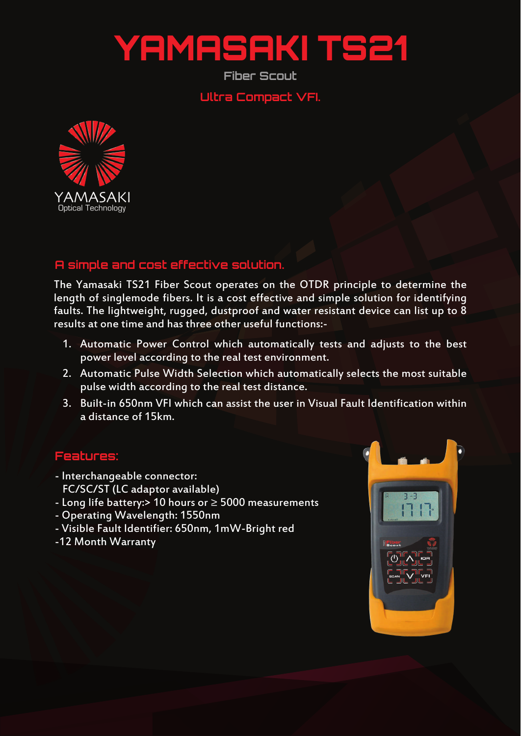## YAMASAKI TS2

**Fiber Scout**

**Ultra Compact VFI.**



## **A simple and cost effective solution.**

The Yamasaki TS21 Fiber Scout operates on the OTDR principle to determine the length of singlemode fibers. It is a cost effective and simple solution for identifying faults. The lightweight, rugged, dustproof and water resistant device can list up to 8 results at one time and has three other useful functions:-

- 1. Automatic Power Control which automatically tests and adjusts to the best power level according to the real test environment.
- 2. Automatic Pulse Width Selection which automatically selects the most suitable pulse width according to the real test distance.
- 3. Built-in 650nm VFI which can assist the user in Visual Fault Identification within a distance of 15km.

## **Features:**

- Interchangeable connector: FC/SC/ST (LC adaptor available)
- Long life battery:> 10 hours or ≥ 5000 measurements
- Operating Wavelength: 1550nm
- Visible Fault Identifier: 650nm, 1mW-Bright red
- -12 Month Warranty